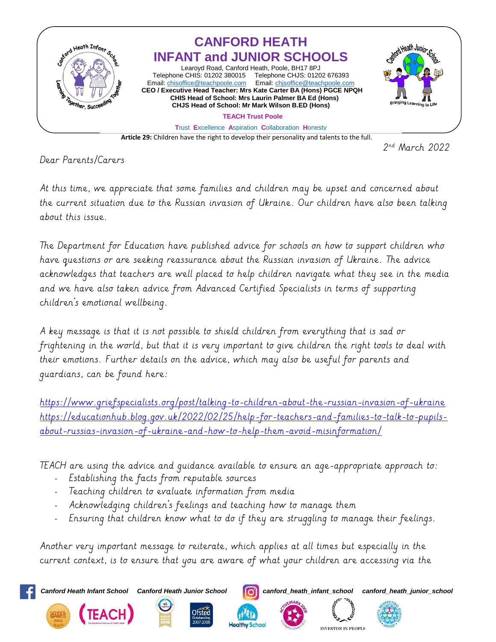

 2  $2<sup>nd</sup>$  March 2022

Dear Parents/Carers

At this time, we appreciate that some families and children may be upset and concerned about the current situation due to the Russian invasion of Ukraine. Our children have also been talking about this issue.

The Department for Education have published advice for schools on how to support children who have questions or are seeking reassurance about the Russian invasion of Ukraine. The advice acknowledges that teachers are well placed to help children navigate what they see in the media and we have also taken advice from Advanced Certified Specialists in terms of supporting children's emotional wellbeing.

A key message is that it is not possible to shield children from everything that is sad or frightening in the world, but that it is very important to give children the right tools to deal with their emotions. Further details on the advice, which may also be useful for parents and guardians, can be found here:

<https://www.griefspecialists.org/post/talking-to-children-about-the-russian-invasion-of-ukraine> [https://educationhub.blog.gov.uk/2022/02/25/help-for-teachers-and-families-to-talk-to-pupils](https://educationhub.blog.gov.uk/2022/02/25/help-for-teachers-and-families-to-talk-to-pupils-about-russias-invasion-of-ukraine-and-how-to-help-them-avoid-misinformation/)[about-russias-invasion-of-ukraine-and-how-to-help-them-avoid-misinformation/](https://educationhub.blog.gov.uk/2022/02/25/help-for-teachers-and-families-to-talk-to-pupils-about-russias-invasion-of-ukraine-and-how-to-help-them-avoid-misinformation/)

TEACH are using the advice and guidance available to ensure an age-appropriate approach to:

- Establishing the facts from reputable sources
- Teaching children to evaluate information from media
- Acknowledging children's feelings and teaching how to manage them
- Ensuring that children know what to do if they are struggling to manage their feelings.

Another very important message to reiterate, which applies at all times but especially in the current context, is to ensure that you are aware of what your children are accessing via the

*Canford Heath Infant School Canford Heath Junior School canford\_heath\_infant\_school canford\_heath\_junior\_school*